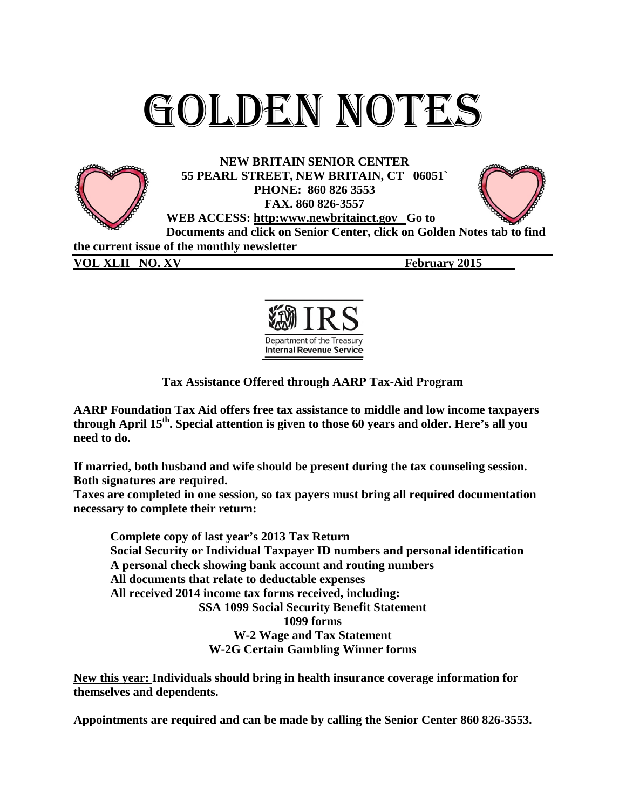# Golden Notes



**NEW BRITAIN SENIOR CENTER 55 PEARL STREET, NEW BRITAIN, CT 06051` PHONE: 860 826 3553 FAX. 860 826-3557 WEB ACCESS: http:www.newbritainct.gov Go to** 



**Documents and click on Senior Center, click on Golden Notes tab to find the current issue of the monthly newsletter**

**VOL XLII NO. XV February 2015** 



**Tax Assistance Offered through AARP Tax-Aid Program**

**AARP Foundation Tax Aid offers free tax assistance to middle and low income taxpayers through April 15th. Special attention is given to those 60 years and older. Here's all you need to do.**

**If married, both husband and wife should be present during the tax counseling session. Both signatures are required.**

**Taxes are completed in one session, so tax payers must bring all required documentation necessary to complete their return:**

**Complete copy of last year's 2013 Tax Return Social Security or Individual Taxpayer ID numbers and personal identification A personal check showing bank account and routing numbers All documents that relate to deductable expenses All received 2014 income tax forms received, including: SSA 1099 Social Security Benefit Statement 1099 forms W-2 Wage and Tax Statement W-2G Certain Gambling Winner forms**

**New this year: Individuals should bring in health insurance coverage information for themselves and dependents.**

**Appointments are required and can be made by calling the Senior Center 860 826-3553.**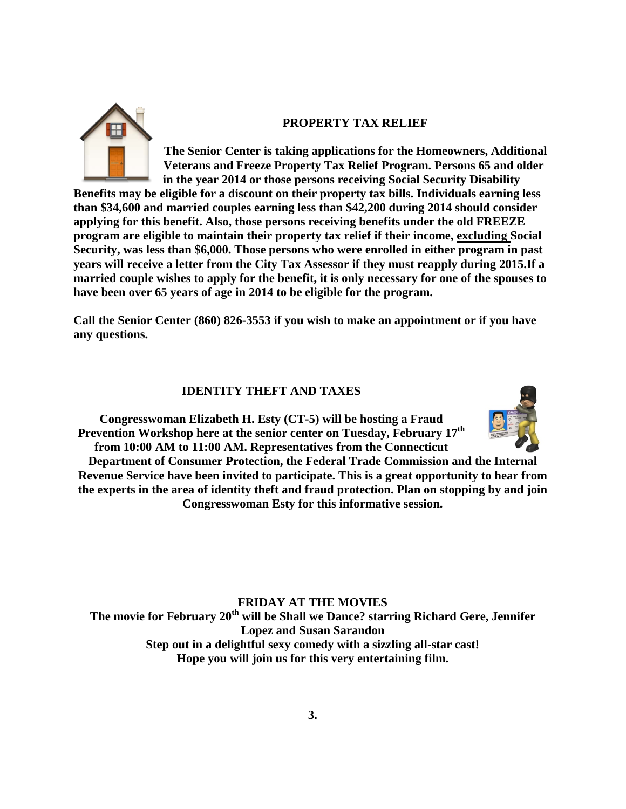

## **PROPERTY TAX RELIEF**

**The Senior Center is taking applications for the Homeowners, Additional Veterans and Freeze Property Tax Relief Program. Persons 65 and older in the year 2014 or those persons receiving Social Security Disability** 

**Benefits may be eligible for a discount on their property tax bills. Individuals earning less than \$34,600 and married couples earning less than \$42,200 during 2014 should consider applying for this benefit. Also, those persons receiving benefits under the old FREEZE program are eligible to maintain their property tax relief if their income, excluding Social Security, was less than \$6,000. Those persons who were enrolled in either program in past years will receive a letter from the City Tax Assessor if they must reapply during 2015.If a married couple wishes to apply for the benefit, it is only necessary for one of the spouses to have been over 65 years of age in 2014 to be eligible for the program.**

**Call the Senior Center (860) 826-3553 if you wish to make an appointment or if you have any questions.**

# **IDENTITY THEFT AND TAXES**

**Congresswoman Elizabeth H. Esty (CT-5) will be hosting a Fraud Prevention Workshop here at the senior center on Tuesday, February 17th from 10:00 AM to 11:00 AM. Representatives from the Connecticut** 



**Department of Consumer Protection, the Federal Trade Commission and the Internal Revenue Service have been invited to participate. This is a great opportunity to hear from the experts in the area of identity theft and fraud protection. Plan on stopping by and join Congresswoman Esty for this informative session.** 

**FRIDAY AT THE MOVIES The movie for February 20th will be Shall we Dance? starring Richard Gere, Jennifer Lopez and Susan Sarandon Step out in a delightful sexy comedy with a sizzling all-star cast! Hope you will join us for this very entertaining film.**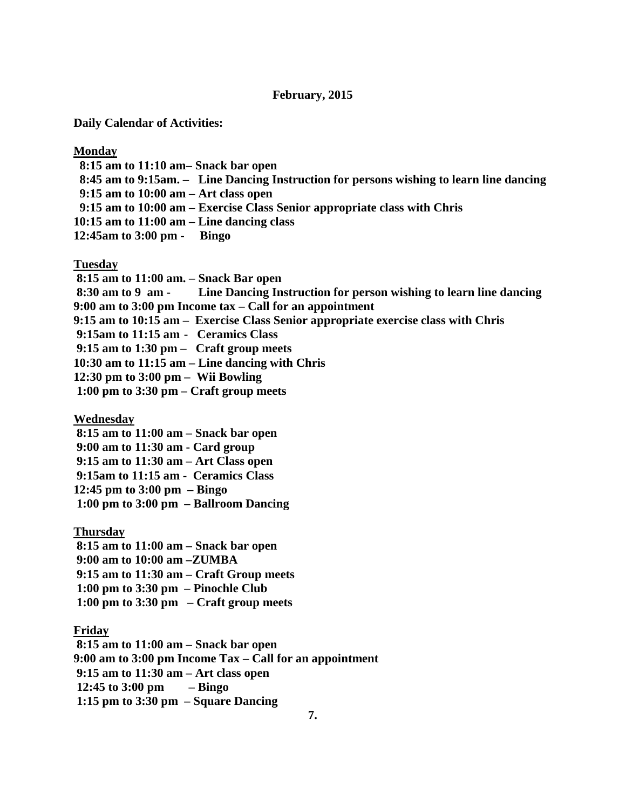## **February, 2015**

**Daily Calendar of Activities:**

## **Monday**

 **8:15 am to 11:10 am– Snack bar open 8:45 am to 9:15am. – Line Dancing Instruction for persons wishing to learn line dancing 9:15 am to 10:00 am – Art class open 9:15 am to 10:00 am – Exercise Class Senior appropriate class with Chris 10:15 am to 11:00 am – Line dancing class 12:45am to 3:00 pm - Bingo**

#### **Tuesday**

**8:15 am to 11:00 am. – Snack Bar open 8:30 am to 9 am - Line Dancing Instruction for person wishing to learn line dancing 9:00 am to 3:00 pm Income tax – Call for an appointment 9:15 am to 10:15 am – Exercise Class Senior appropriate exercise class with Chris 9:15am to 11:15 am - Ceramics Class 9:15 am to 1:30 pm – Craft group meets 10:30 am to 11:15 am – Line dancing with Chris 12:30 pm to 3:00 pm – Wii Bowling 1:00 pm to 3:30 pm – Craft group meets**

**Wednesday**

**8:15 am to 11:00 am – Snack bar open**

**9:00 am to 11:30 am - Card group**

**9:15 am to 11:30 am – Art Class open**

**9:15am to 11:15 am - Ceramics Class**

**12:45 pm to 3:00 pm – Bingo**

**1:00 pm to 3:00 pm – Ballroom Dancing**

**Thursday**

**8:15 am to 11:00 am – Snack bar open**

**9:00 am to 10:00 am –ZUMBA**

**9:15 am to 11:30 am – Craft Group meets**

**1:00 pm to 3:30 pm – Pinochle Club**

**1:00 pm to 3:30 pm – Craft group meets**

# **Friday**

**8:15 am to 11:00 am – Snack bar open 9:00 am to 3:00 pm Income Tax – Call for an appointment 9:15 am to 11:30 am – Art class open 12:45 to 3:00 pm – Bingo 1:15 pm to 3:30 pm – Square Dancing**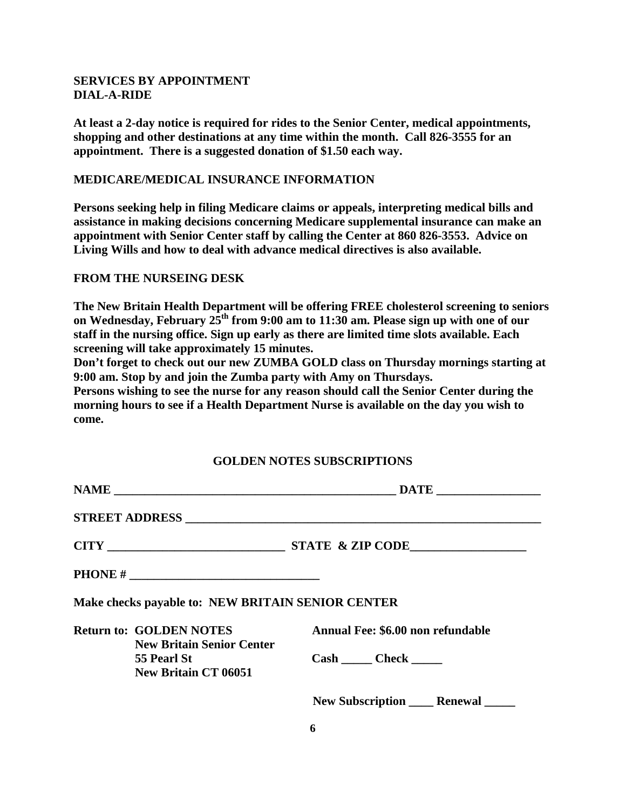# **SERVICES BY APPOINTMENT DIAL-A-RIDE**

**At least a 2-day notice is required for rides to the Senior Center, medical appointments, shopping and other destinations at any time within the month. Call 826-3555 for an appointment. There is a suggested donation of \$1.50 each way.**

## **MEDICARE/MEDICAL INSURANCE INFORMATION**

**Persons seeking help in filing Medicare claims or appeals, interpreting medical bills and assistance in making decisions concerning Medicare supplemental insurance can make an appointment with Senior Center staff by calling the Center at 860 826-3553. Advice on Living Wills and how to deal with advance medical directives is also available.**

# **FROM THE NURSEING DESK**

**The New Britain Health Department will be offering FREE cholesterol screening to seniors**  on Wednesday, February 25<sup>th</sup> from 9:00 am to 11:30 am. Please sign up with one of our **staff in the nursing office. Sign up early as there are limited time slots available. Each screening will take approximately 15 minutes.**

**Don't forget to check out our new ZUMBA GOLD class on Thursday mornings starting at 9:00 am. Stop by and join the Zumba party with Amy on Thursdays.**

**Persons wishing to see the nurse for any reason should call the Senior Center during the morning hours to see if a Health Department Nurse is available on the day you wish to come.**

# **GOLDEN NOTES SUBSCRIPTIONS**

|  | PHONE # $\_$                                                       |                                      |  |  |  |
|--|--------------------------------------------------------------------|--------------------------------------|--|--|--|
|  | Make checks payable to: NEW BRITAIN SENIOR CENTER                  |                                      |  |  |  |
|  | <b>Return to: GOLDEN NOTES</b><br><b>New Britain Senior Center</b> | Annual Fee: \$6.00 non refundable    |  |  |  |
|  | 55 Pearl St<br><b>New Britain CT 06051</b>                         | Cash Check                           |  |  |  |
|  |                                                                    | New Subscription _____ Renewal _____ |  |  |  |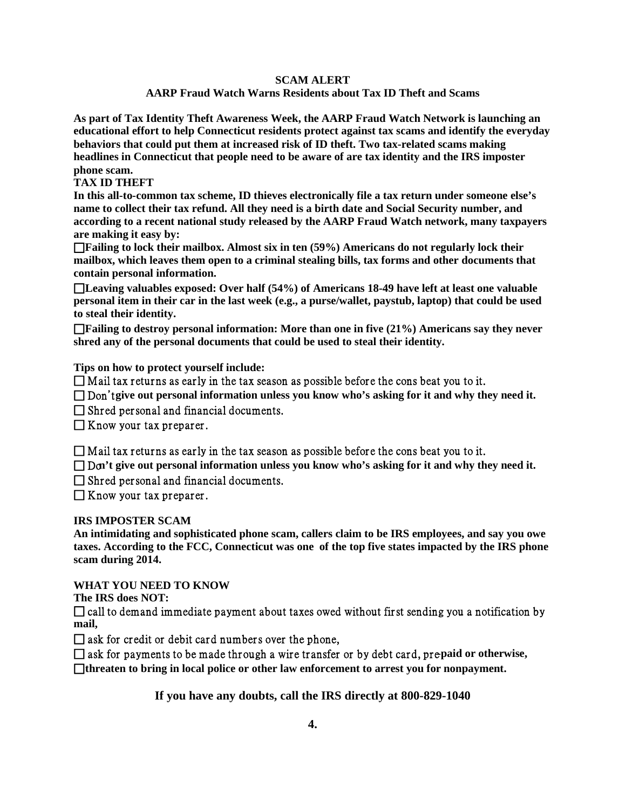## **SCAM ALERT**

# **AARP Fraud Watch Warns Residents about Tax ID Theft and Scams**

**As part of Tax Identity Theft Awareness Week, the AARP Fraud Watch Network is launching an educational effort to help Connecticut residents protect against tax scams and identify the everyday behaviors that could put them at increased risk of ID theft. Two tax-related scams making headlines in Connecticut that people need to be aware of are tax identity and the IRS imposter phone scam.**

**TAX ID THEFT** 

**In this all-to-common tax scheme, ID thieves electronically file a tax return under someone else's name to collect their tax refund. All they need is a birth date and Social Security number, and according to a recent national study released by the AARP Fraud Watch network, many taxpayers are making it easy by:** 

 **Failing to lock their mailbox. Almost six in ten (59%) Americans do not regularly lock their mailbox, which leaves them open to a criminal stealing bills, tax forms and other documents that contain personal information.** 

 **Leaving valuables exposed: Over half (54%) of Americans 18-49 have left at least one valuable personal item in their car in the last week (e.g., a purse/wallet, paystub, laptop) that could be used to steal their identity.** 

 **Failing to destroy personal information: More than one in five (21%) Americans say they never shred any of the personal documents that could be used to steal their identity.**

**Tips on how to protect yourself include:**

 $\Box$  Mail tax returns as early in the tax season as possible before the cons beat you to it.

□ Don't give out personal information unless you know who's asking for it and why they need it.

 $\Box$  Shred personal and financial documents.

 $\Box$  Know your tax preparer.

 $\Box$  Mail tax returns as early in the tax season as possible before the cons beat you to it.

□ D $\alpha$ <sup>t</sup> give out personal information unless you know who's asking for it and why they need it.

 $\Box$  Shred personal and financial documents.

 $\Box$  Know your tax preparer.

**IRS IMPOSTER SCAM**

**An intimidating and sophisticated phone scam, callers claim to be IRS employees, and say you owe taxes. According to the FCC, Connecticut was one of the top five states impacted by the IRS phone scam during 2014.**

**WHAT YOU NEED TO KNOW** 

**The IRS does NOT:** 

 $\Box$  call to demand immediate payment about taxes owed without first sending you a notification by **mail,** 

 $\Box$  ask for credit or debit card numbers over the phone,

 $\Box$  ask for payments to be made through a wire transfer or by debt card, prepaid or otherwise,

□threaten to bring in local police or other law enforcement to arrest you for nonpayment.

**If you have any doubts, call the IRS directly at 800-829-1040**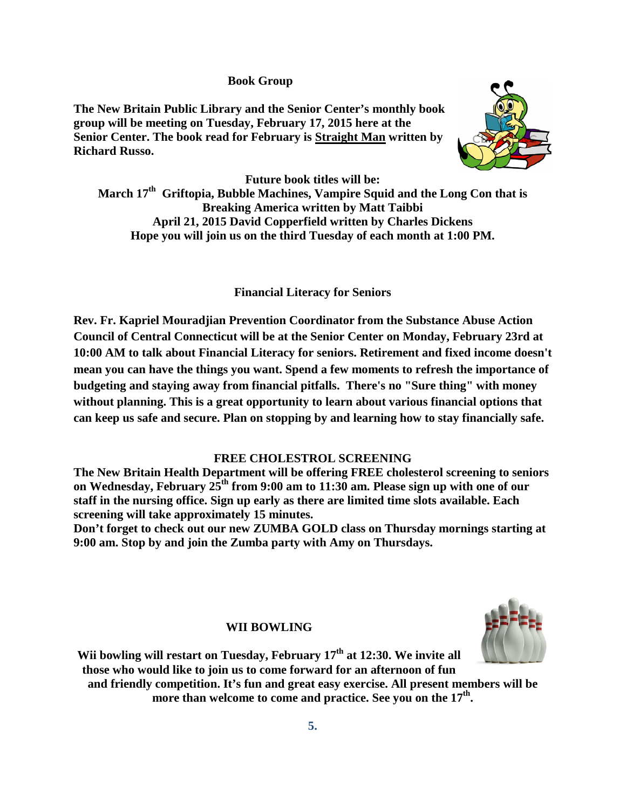## **Book Group**

**The New Britain Public Library and the Senior Center's monthly book group will be meeting on Tuesday, February 17, 2015 here at the Senior Center. The book read for February is Straight Man written by Richard Russo.** 



**Future book titles will be: March 17th Griftopia, Bubble Machines, Vampire Squid and the Long Con that is Breaking America written by Matt Taibbi April 21, 2015 David Copperfield written by Charles Dickens Hope you will join us on the third Tuesday of each month at 1:00 PM.**

**Financial Literacy for Seniors**

**Rev. Fr. Kapriel Mouradjian Prevention Coordinator from the Substance Abuse Action Council of Central Connecticut will be at the Senior Center on Monday, February 23rd at 10:00 AM to talk about Financial Literacy for seniors. Retirement and fixed income doesn't mean you can have the things you want. Spend a few moments to refresh the importance of budgeting and staying away from financial pitfalls. There's no "Sure thing" with money without planning. This is a great opportunity to learn about various financial options that can keep us safe and secure. Plan on stopping by and learning how to stay financially safe.**

## **FREE CHOLESTROL SCREENING**

**The New Britain Health Department will be offering FREE cholesterol screening to seniors on Wednesday, February 25th from 9:00 am to 11:30 am. Please sign up with one of our staff in the nursing office. Sign up early as there are limited time slots available. Each screening will take approximately 15 minutes.**

**Don't forget to check out our new ZUMBA GOLD class on Thursday mornings starting at 9:00 am. Stop by and join the Zumba party with Amy on Thursdays.**

#### **WII BOWLING**



Wii bowling will restart on Tuesday, February 17<sup>th</sup> at 12:30. We invite all **those who would like to join us to come forward for an afternoon of fun and friendly competition. It's fun and great easy exercise. All present members will be** 

more than welcome to come and practice. See you on the 17<sup>th</sup>.